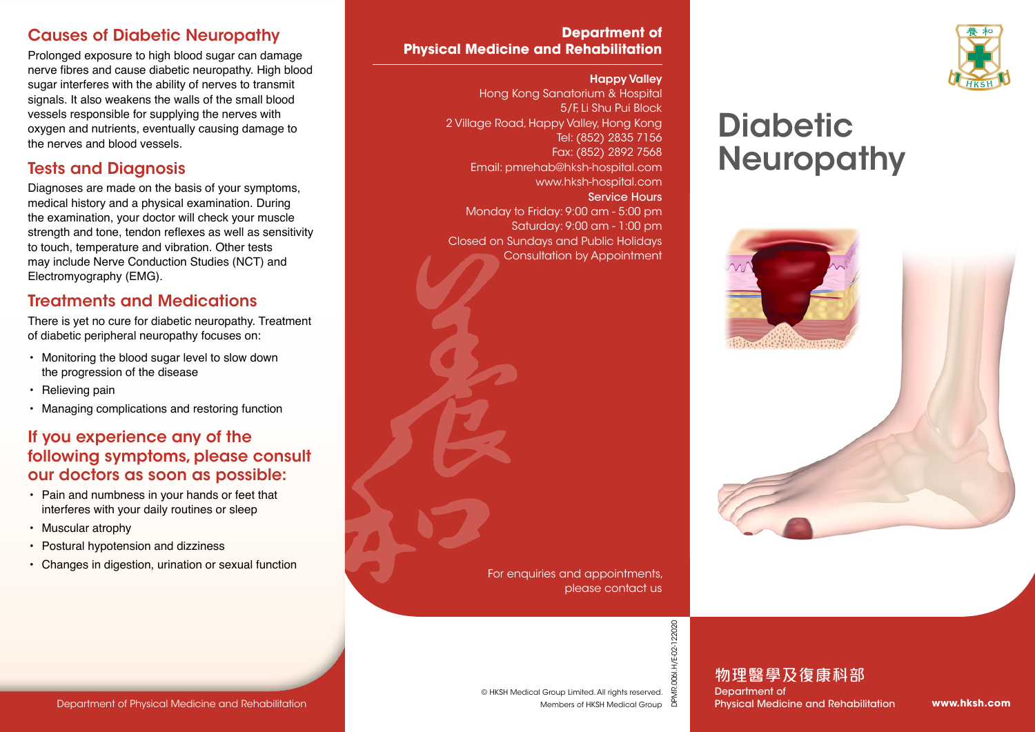## Causes of Diabetic Neuropathy

Prolonged exposure to high blood sugar can damage nerve fibres and cause diabetic neuropathy. High blood sugar interferes with the ability of nerves to transmit signals. It also weakens the walls of the small blood vessels responsible for supplying the nerves with oxygen and nutrients, eventually causing damage to the nerves and blood vessels.

## Tests and Diagnosis

Diagnoses are made on the basis of your symptoms, medical history and a physical examination. During the examination, your doctor will check your muscle strength and tone, tendon reflexes as well as sensitivity to touch, temperature and vibration. Other tests may include Nerve Conduction Studies (NCT) and Electromyography (EMG).

## Treatments and Medications

There is yet no cure for diabetic neuropathy. Treatment of diabetic peripheral neuropathy focuses on:

- Monitoring the blood sugar level to slow down the progression of the disease
- Relieving pain
- Managing complications and restoring function

## If you experience any of the following symptoms, please consult our doctors as soon as possible:

- Pain and numbness in your hands or feet that interferes with your daily routines or sleep
- Muscular atrophy
- Postural hypotension and dizziness
- Changes in digestion, urination or sexual function

### **Department of Physical Medicine and Rehabilitation**

#### Happy Valley

Hong Kong Sanatorium & Hospital 5/F, Li Shu Pui Block 2 Village Road, Happy Valley, Hong Kong Tel: (852) 2835 7156 Fax: (852) 2892 7568 Email: pmrehab@hksh-hospital.com www.hksh-hospital.com Service Hours Monday to Friday: 9:00 am - 5:00 pm Saturday: 9:00 am - 1:00 pm Closed on Sundays and Public Holidays Consultation by Appointment



# **Diabetic Neuropathy**



For enquiries and appointments, please contact us

> 006I.H/E-02-122020 DPMR.006I.H/E-02-122020

物理醫學及復康科部 Department of Physical Medicine and Rehabilitation

**www.hksh.com**